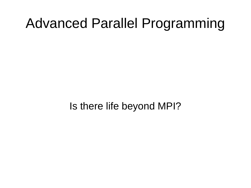#### Advanced Parallel Programming

Is there life beyond MPI?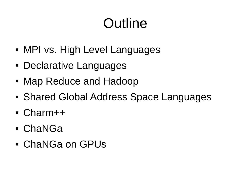## Outline

- MPI vs. High Level Languages
- Declarative Languages
- Map Reduce and Hadoop
- Shared Global Address Space Languages
- Charm++
- ChaNGa
- ChaNGa on GPUs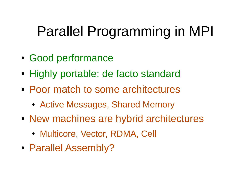## Parallel Programming in MPI

- Good performance
- Highly portable: de facto standard
- Poor match to some architectures
	- Active Messages, Shared Memory
- New machines are hybrid architectures
	- Multicore, Vector, RDMA, Cell
- Parallel Assembly?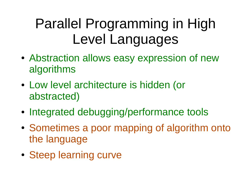## Parallel Programming in High Level Languages

- Abstraction allows easy expression of new algorithms
- Low level architecture is hidden (or abstracted)
- Integrated debugging/performance tools
- Sometimes a poor mapping of algorithm onto the language
- Steep learning curve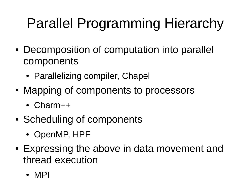# Parallel Programming Hierarchy

- Decomposition of computation into parallel components
	- Parallelizing compiler, Chapel
- Mapping of components to processors
	- Charm++
- Scheduling of components
	- OpenMP, HPF
- Expressing the above in data movement and thread execution
	- MPI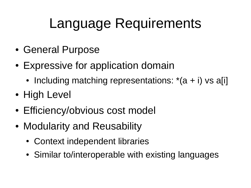## Language Requirements

- General Purpose
- Expressive for application domain
	- Including matching representations:  $*(a + i)$  vs a [i]
- High Level
- Efficiency/obvious cost model
- Modularity and Reusability
	- Context independent libraries
	- Similar to/interoperable with existing languages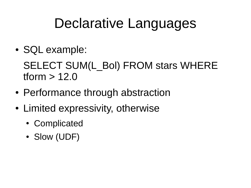#### Declarative Languages

• SQL example:

SELECT SUM(L\_Bol) FROM stars WHERE tform > 12.0

- Performance through abstraction
- Limited expressivity, otherwise
	- Complicated
	- Slow (UDF)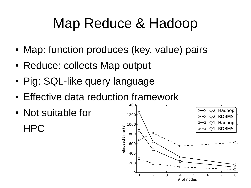## Map Reduce & Hadoop

- Map: function produces (key, value) pairs
- Reduce: collects Map output
- Pig: SQL-like query language
- Effective data reduction framework
- Not suitable for HPC

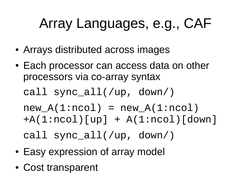## Array Languages, e.g., CAF

- Arrays distributed across images
- Each processor can access data on other processors via co-array syntax
	- call sync\_all(/up, down/)

 $new_A(1:ncol) = new_A(1:ncol)$  $+A(1:ncol)[up] + A(1:ncol)[down]$ call sync\_all(/up, down/)

- Easy expression of array model
- Cost transparent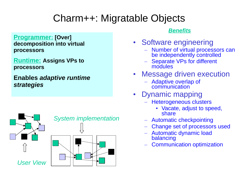#### Charm++: Migratable Objects

**Programmer: [Over] decomposition into virtual processors**

**Runtime: Assigns VPs to processors**

**Enables** *adaptive runtime strategies*



#### *Benefits*

- Software engineering
	- Number of virtual processors can be independently controlled
	- Separate VPs for different modules
- **Message driven execution** 
	- Adaptive overlap of communication
- Dynamic mapping
	- Heterogeneous clusters
		- Vacate, adjust to speed, share
	- Automatic checkpointing
	- Change set of processors used
	- Automatic dynamic load balancing
	- Communication optimization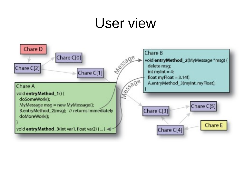#### User view

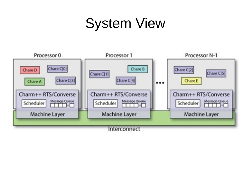## System View

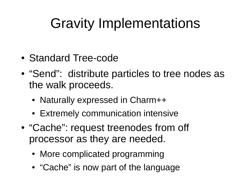## Gravity Implementations

- Standard Tree-code
- "Send": distribute particles to tree nodes as the walk proceeds.
	- Naturally expressed in Charm++
	- Extremely communication intensive
- "Cache": request treenodes from off processor as they are needed.
	- More complicated programming
	- "Cache" is now part of the language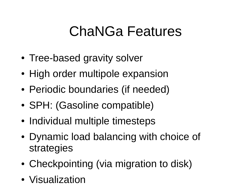### ChaNGa Features

- Tree-based gravity solver
- High order multipole expansion
- Periodic boundaries (if needed)
- SPH: (Gasoline compatible)
- Individual multiple timesteps
- Dynamic load balancing with choice of strategies
- Checkpointing (via migration to disk)
- Visualization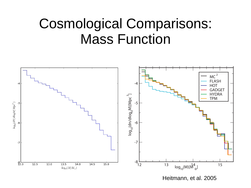#### Cosmological Comparisons: Mass Function

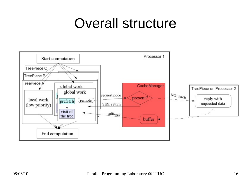### Overall structure

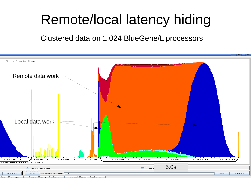## Remote/local latency hiding

Clustered data on 1,024 BlueGene/L processors

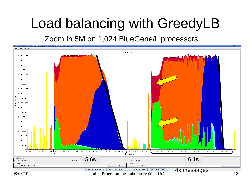## Load balancing with GreedyLB

#### Zoom In 5M on 1,024 BlueGene/L processors

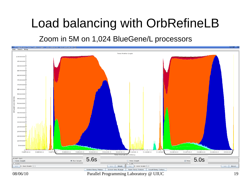#### Load balancing with OrbRefineLB

#### Zoom in 5M on 1,024 BlueGene/L processors

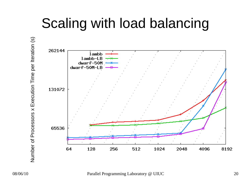## Scaling with load balancing

Z コ  $\Xi$ ber of Pro ceທ ທ ors x $\sqcup$  $\times$ ecutio  $\subset$ E<br>Fi e $\mathbf{\Omega}$ er Iteratio n (s)

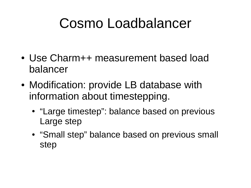### Cosmo Loadbalancer

- Use Charm++ measurement based load balancer
- Modification: provide LB database with information about timestepping.
	- "Large timestep": balance based on previous Large step
	- "Small step" balance based on previous small step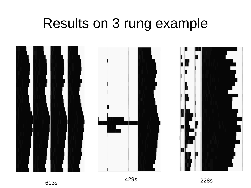#### Results on 3 rung example





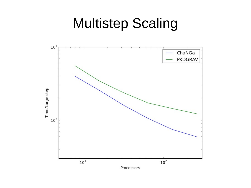#### Multistep Scaling

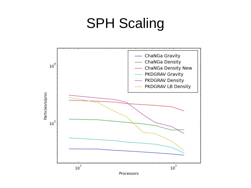## SPH Scaling

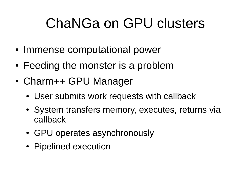## ChaNGa on GPU clusters

- Immense computational power
- Feeding the monster is a problem
- Charm++ GPU Manager
	- User submits work requests with callback
	- System transfers memory, executes, returns via callback
	- GPU operates asynchronously
	- Pipelined execution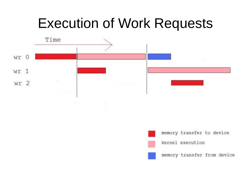#### Execution of Work Requests

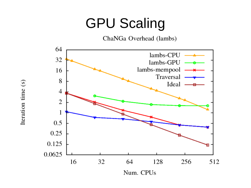#### GPU Scaling

ChaNGa Overhead (lambs)

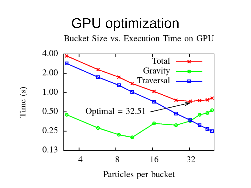#### GPU optimization

Bucket Size vs. Execution Time on GPU



Time  $(s)$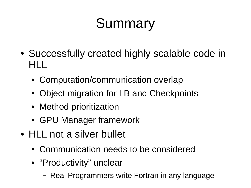## **Summary**

- Successfully created highly scalable code in HLL
	- Computation/communication overlap
	- Object migration for LB and Checkpoints
	- Method prioritization
	- GPU Manager framework
- HLL not a silver bullet
	- Communication needs to be considered
	- "Productivity" unclear
		- Real Programmers write Fortran in any language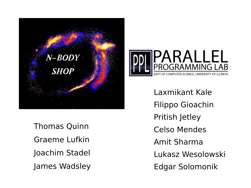

Thomas Quinn Graeme Lufkin Joachim Stadel James Wadsley



Laxmikant Kale Filippo Gioachin Pritish Jetley Celso Mendes Amit Sharma Lukasz Wesolowski Edgar Solomonik